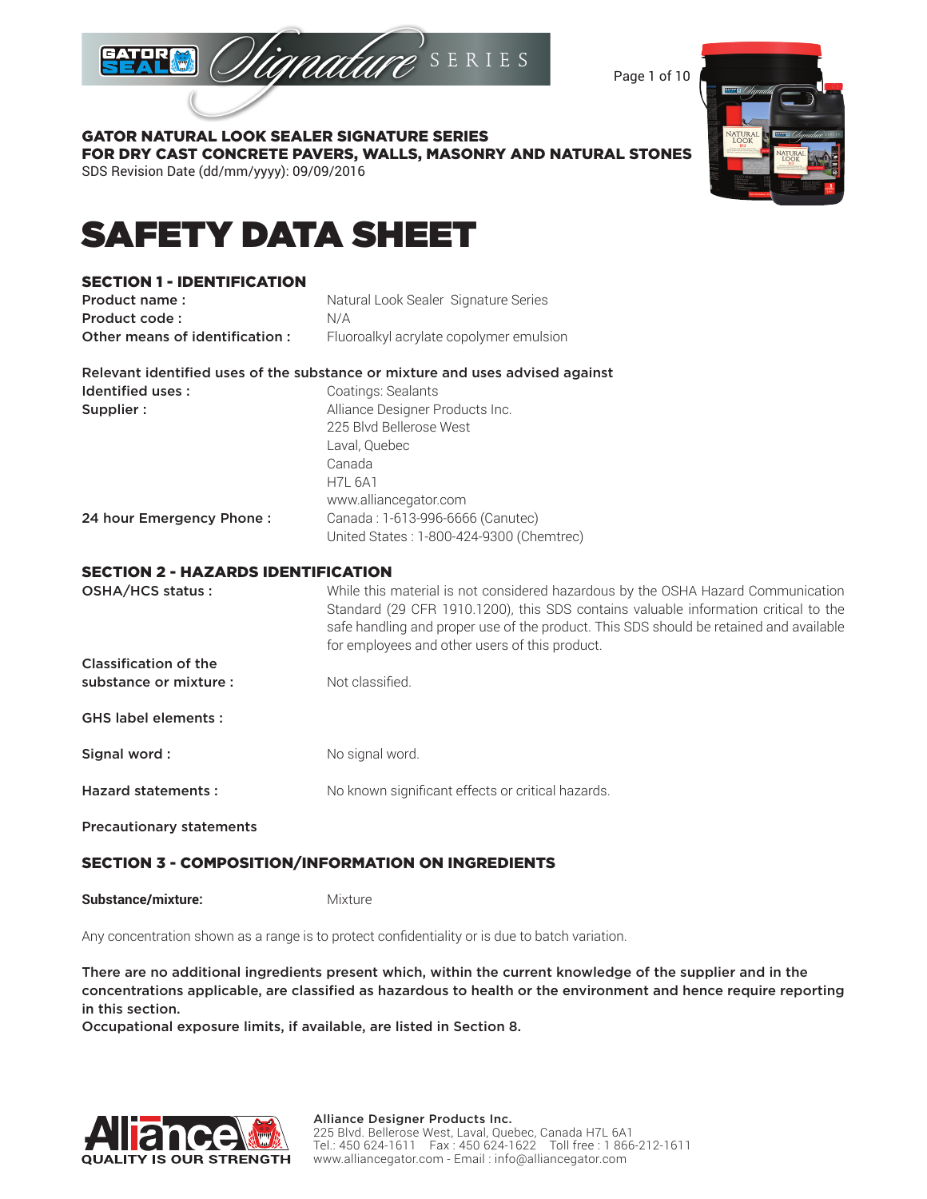

Page 1 of 10



### GATOR NATURAL LOOK SEALER SIGNATURE SERIES FOR DRY CAST CONCRETE PAVERS, WALLS, MASONRY AND NATURAL STONES SDS Revision Date (dd/mm/yyyy): 09/09/2016

# SAFETY DATA SHEET

## SECTION 1 - IDENTIFICATION

| Product name:                  | Natural Look Sealer Signature Series    |
|--------------------------------|-----------------------------------------|
| Product code:                  | N/A                                     |
| Other means of identification: | Fluoroalkyl acrylate copolymer emulsion |

Relevant identified uses of the substance or mixture and uses advised against Identified uses : Coatings: Sealants Supplier : Alliance Designer Products Inc.

|                          | 225 Blvd Bellerose West                  |
|--------------------------|------------------------------------------|
|                          | Laval, Quebec                            |
|                          | Canada                                   |
|                          | <b>H7L 6A1</b>                           |
|                          | www.alliancegator.com                    |
| 24 hour Emergency Phone: | Canada: 1-613-996-6666 (Canutec)         |
|                          | United States: 1-800-424-9300 (Chemtrec) |

### SECTION 2 - HAZARDS IDENTIFICATION

| OSHA/HCS status:             | While this material is not considered hazardous by the OSHA Hazard Communication<br>Standard (29 CFR 1910.1200), this SDS contains valuable information critical to the<br>safe handling and proper use of the product. This SDS should be retained and available<br>for employees and other users of this product. |
|------------------------------|---------------------------------------------------------------------------------------------------------------------------------------------------------------------------------------------------------------------------------------------------------------------------------------------------------------------|
| <b>Classification of the</b> |                                                                                                                                                                                                                                                                                                                     |
| substance or mixture:        | Not classified.                                                                                                                                                                                                                                                                                                     |
| <b>GHS label elements:</b>   |                                                                                                                                                                                                                                                                                                                     |
| Signal word:                 | No signal word.                                                                                                                                                                                                                                                                                                     |
| <b>Hazard statements:</b>    | No known significant effects or critical hazards.                                                                                                                                                                                                                                                                   |
|                              |                                                                                                                                                                                                                                                                                                                     |

Precautionary statements

# SECTION 3 - COMPOSITION/INFORMATION ON INGREDIENTS

**Substance/mixture:** Mixture

Any concentration shown as a range is to protect confidentiality or is due to batch variation.

There are no additional ingredients present which, within the current knowledge of the supplier and in the concentrations applicable, are classified as hazardous to health or the environment and hence require reporting in this section.

Occupational exposure limits, if available, are listed in Section 8.

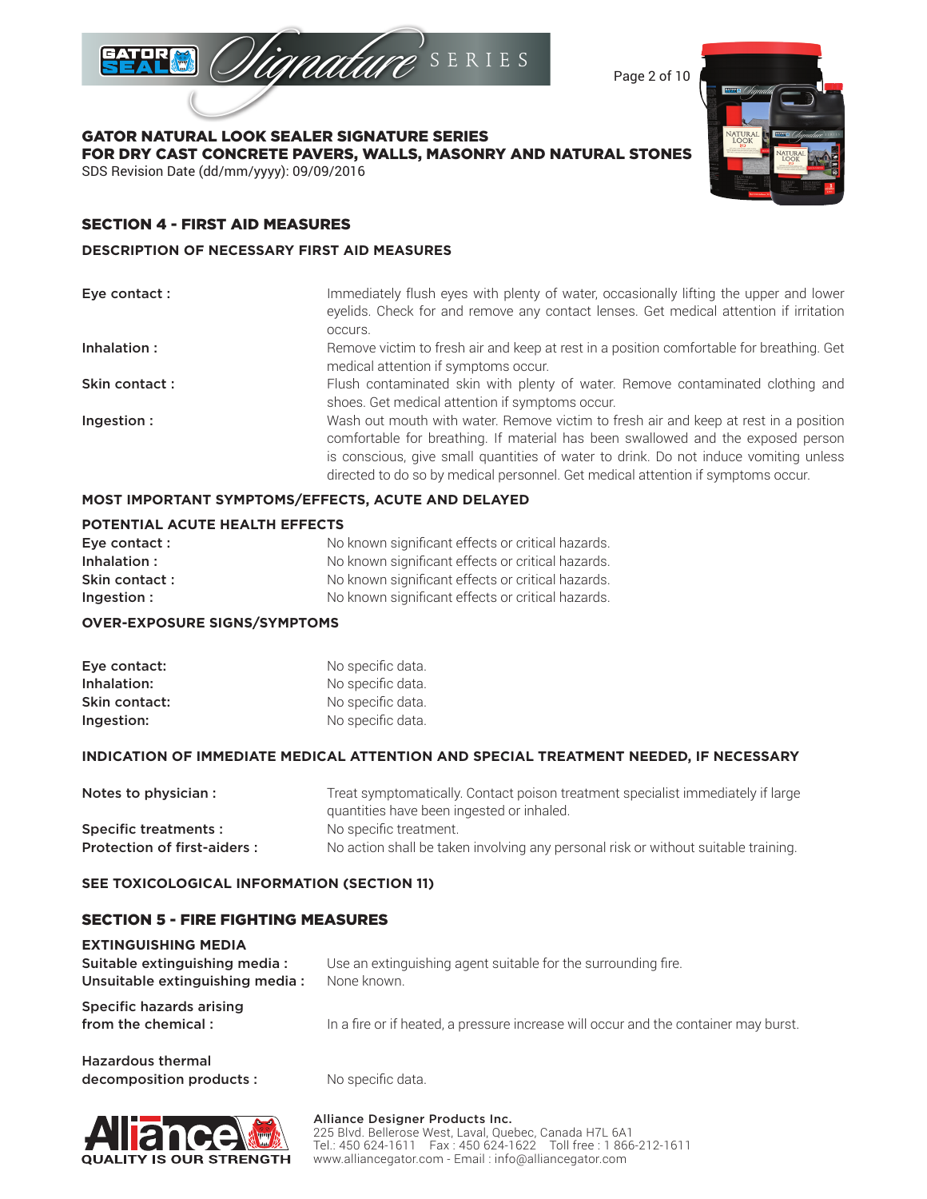

Page 2 of 10

GATOR NATURAL LOOK SEALER SIGNATURE SERIES FOR DRY CAST CONCRETE PAVERS, WALLS, MASONRY AND NATURAL STONES SDS Revision Date (dd/mm/yyyy): 09/09/2016

# SECTION 4 - FIRST AID MEASURES

### **DESCRIPTION OF NECESSARY FIRST AID MEASURES**

| Eye contact : | Immediately flush eyes with plenty of water, occasionally lifting the upper and lower<br>eyelids. Check for and remove any contact lenses. Get medical attention if irritation<br>occurs.                                                                                                                                                            |
|---------------|------------------------------------------------------------------------------------------------------------------------------------------------------------------------------------------------------------------------------------------------------------------------------------------------------------------------------------------------------|
| Inhalation:   | Remove victim to fresh air and keep at rest in a position comfortable for breathing. Get<br>medical attention if symptoms occur.                                                                                                                                                                                                                     |
| Skin contact: | Flush contaminated skin with plenty of water. Remove contaminated clothing and<br>shoes. Get medical attention if symptoms occur.                                                                                                                                                                                                                    |
| Ingestion:    | Wash out mouth with water. Remove victim to fresh air and keep at rest in a position<br>comfortable for breathing. If material has been swallowed and the exposed person<br>is conscious, give small quantities of water to drink. Do not induce vomiting unless<br>directed to do so by medical personnel. Get medical attention if symptoms occur. |

## **MOST IMPORTANT SYMPTOMS/EFFECTS, ACUTE AND DELAYED**

### **POTENTIAL ACUTE HEALTH EFFECTS**

| Eye contact : | No known significant effects or critical hazards. |
|---------------|---------------------------------------------------|
| Inhalation:   | No known significant effects or critical hazards. |
| Skin contact: | No known significant effects or critical hazards. |
| Ingestion:    | No known significant effects or critical hazards. |

### **OVER-EXPOSURE SIGNS/SYMPTOMS**

| Eye contact:  | No specific data. |
|---------------|-------------------|
| Inhalation:   | No specific data. |
| Skin contact: | No specific data. |
| Ingestion:    | No specific data. |

### **INDICATION OF IMMEDIATE MEDICAL ATTENTION AND SPECIAL TREATMENT NEEDED, IF NECESSARY**

| Notes to physician :        | Treat symptomatically. Contact poison treatment specialist immediately if large    |
|-----------------------------|------------------------------------------------------------------------------------|
|                             | quantities have been ingested or inhaled.                                          |
| Specific treatments :       | No specific treatment.                                                             |
| Protection of first-aiders: | No action shall be taken involving any personal risk or without suitable training. |

### **SEE TOXICOLOGICAL INFORMATION (SECTION 11)**

### SECTION 5 - FIRE FIGHTING MEASURES

| <b>EXTINGUISHING MEDIA</b><br>Suitable extinguishing media:<br>Unsuitable extinguishing media: | Use an extinguishing agent suitable for the surrounding fire.<br>None known.        |
|------------------------------------------------------------------------------------------------|-------------------------------------------------------------------------------------|
| Specific hazards arising<br>from the chemical:                                                 | In a fire or if heated, a pressure increase will occur and the container may burst. |
| Hazardous thormal                                                                              |                                                                                     |

### Hazardous thermal decomposition products : No specific data.



Alliance Designer Products Inc. 225 Blvd. Bellerose West, Laval, Quebec, Canada H7L 6A1 Tel.: 450 624-1611 Fax : 450 624-1622 Toll free : 1 866-212-1611 www.alliancegator.com - Email : info@alliancegator.com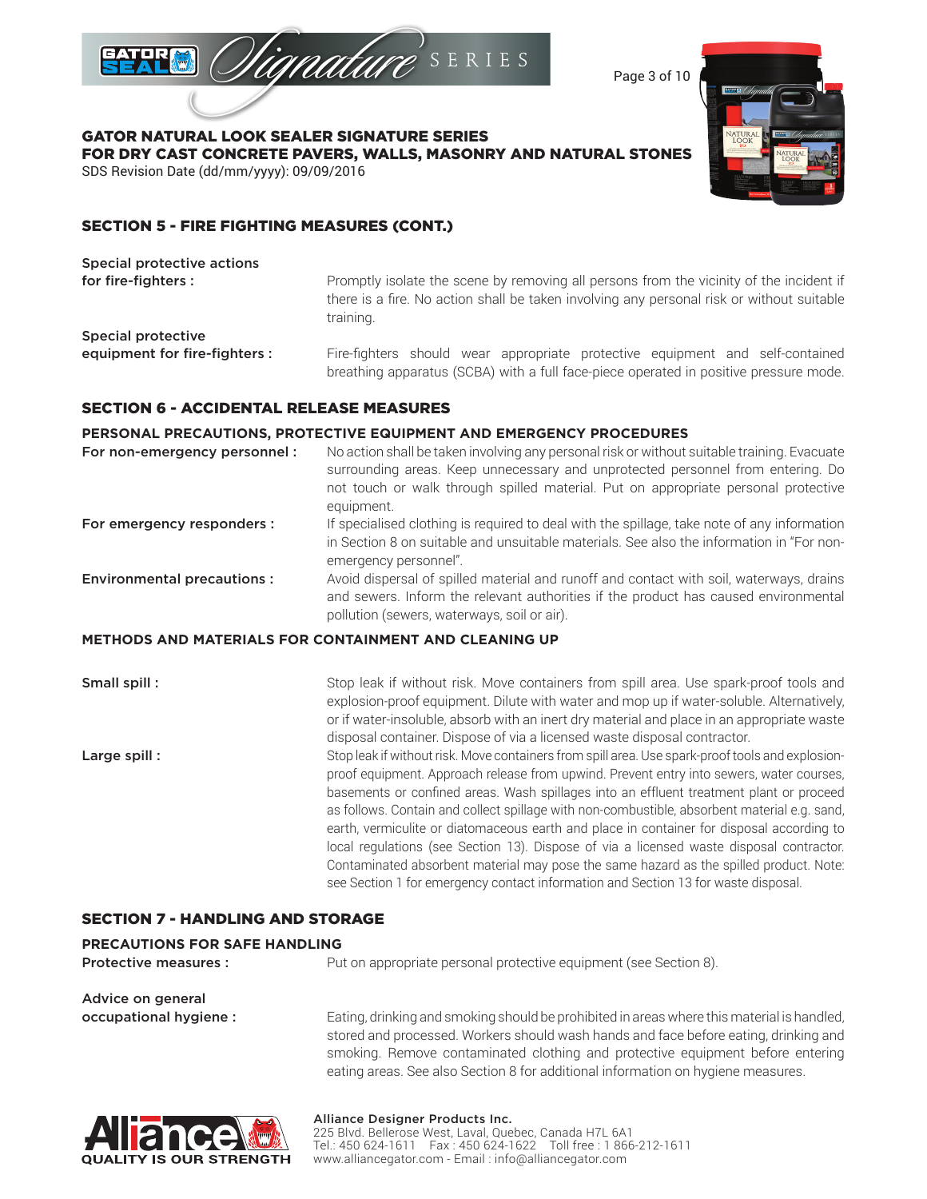

Page 3 of 10

GATOR NATURAL LOOK SEALER SIGNATURE SERIES FOR DRY CAST CONCRETE PAVERS, WALLS, MASONRY AND NATURAL STONES SDS Revision Date (dd/mm/yyyy): 09/09/2016



# SECTION 5 - FIRE FIGHTING MEASURES (CONT.)

| Special protective actions    |                                                                                                                                                                                                   |
|-------------------------------|---------------------------------------------------------------------------------------------------------------------------------------------------------------------------------------------------|
| for fire-fighters :           | Promptly isolate the scene by removing all persons from the vicinity of the incident if<br>there is a fire. No action shall be taken involving any personal risk or without suitable<br>training. |
| Special protective            |                                                                                                                                                                                                   |
| equipment for fire-fighters : | Fire-fighters should wear appropriate protective equipment and self-contained<br>breathing apparatus (SCBA) with a full face-piece operated in positive pressure mode.                            |

### SECTION 6 - ACCIDENTAL RELEASE MEASURES

### **PERSONAL PRECAUTIONS, PROTECTIVE EQUIPMENT AND EMERGENCY PROCEDURES**

| For non-emergency personnel :     | No action shall be taken involving any personal risk or without suitable training. Evacuate<br>surrounding areas. Keep unnecessary and unprotected personnel from entering. Do<br>not touch or walk through spilled material. Put on appropriate personal protective<br>equipment.                                                                          |
|-----------------------------------|-------------------------------------------------------------------------------------------------------------------------------------------------------------------------------------------------------------------------------------------------------------------------------------------------------------------------------------------------------------|
| For emergency responders :        | If specialised clothing is required to deal with the spillage, take note of any information<br>in Section 8 on suitable and unsuitable materials. See also the information in "For non-<br>emergency personnel".                                                                                                                                            |
| <b>Environmental precautions:</b> | Avoid dispersal of spilled material and runoff and contact with soil, waterways, drains<br>and sewers. Inform the relevant authorities if the product has caused environmental<br>pollution (sewers, waterways, soil or air).                                                                                                                               |
|                                   | <b>METHODS AND MATERIALS FOR CONTAINMENT AND CLEANING UP</b>                                                                                                                                                                                                                                                                                                |
| Small spill:                      | Stop leak if without risk. Move containers from spill area. Use spark-proof tools and<br>explosion-proof equipment. Dilute with water and mop up if water-soluble. Alternatively,<br>or if water-insoluble, absorb with an inert dry material and place in an appropriate waste<br>disposal container. Dispose of via a licensed waste disposal contractor. |
| Large spill:                      | Stop leak if without risk. Move containers from spill area. Use spark-proof tools and explosion-<br>proof equipment. Approach release from upwind. Prevent entry into sewers, water courses,<br>because the air confined avere Week and lease into an efficient treatment plant ar proceed.                                                                 |

basements or confined areas. Wash spillages into an effluent treatment plant or proceed as follows. Contain and collect spillage with non-combustible, absorbent material e.g. sand, earth, vermiculite or diatomaceous earth and place in container for disposal according to local regulations (see Section 13). Dispose of via a licensed waste disposal contractor. Contaminated absorbent material may pose the same hazard as the spilled product. Note: see Section 1 for emergency contact information and Section 13 for waste disposal.

# SECTION 7 - HANDLING AND STORAGE

### **PRECAUTIONS FOR SAFE HANDLING**

**Protective measures :** Put on appropriate personal protective equipment (see Section 8).

Advice on general

occupational hygiene : Eating, drinking and smoking should be prohibited in areas where this material is handled, stored and processed. Workers should wash hands and face before eating, drinking and smoking. Remove contaminated clothing and protective equipment before entering eating areas. See also Section 8 for additional information on hygiene measures.



# Alliance Designer Products Inc.

225 Blvd. Bellerose West, Laval, Quebec, Canada H7L 6A1 Tel.: 450 624-1611 Fax : 450 624-1622 Toll free : 1 866-212-1611 www.alliancegator.com - Email : info@alliancegator.com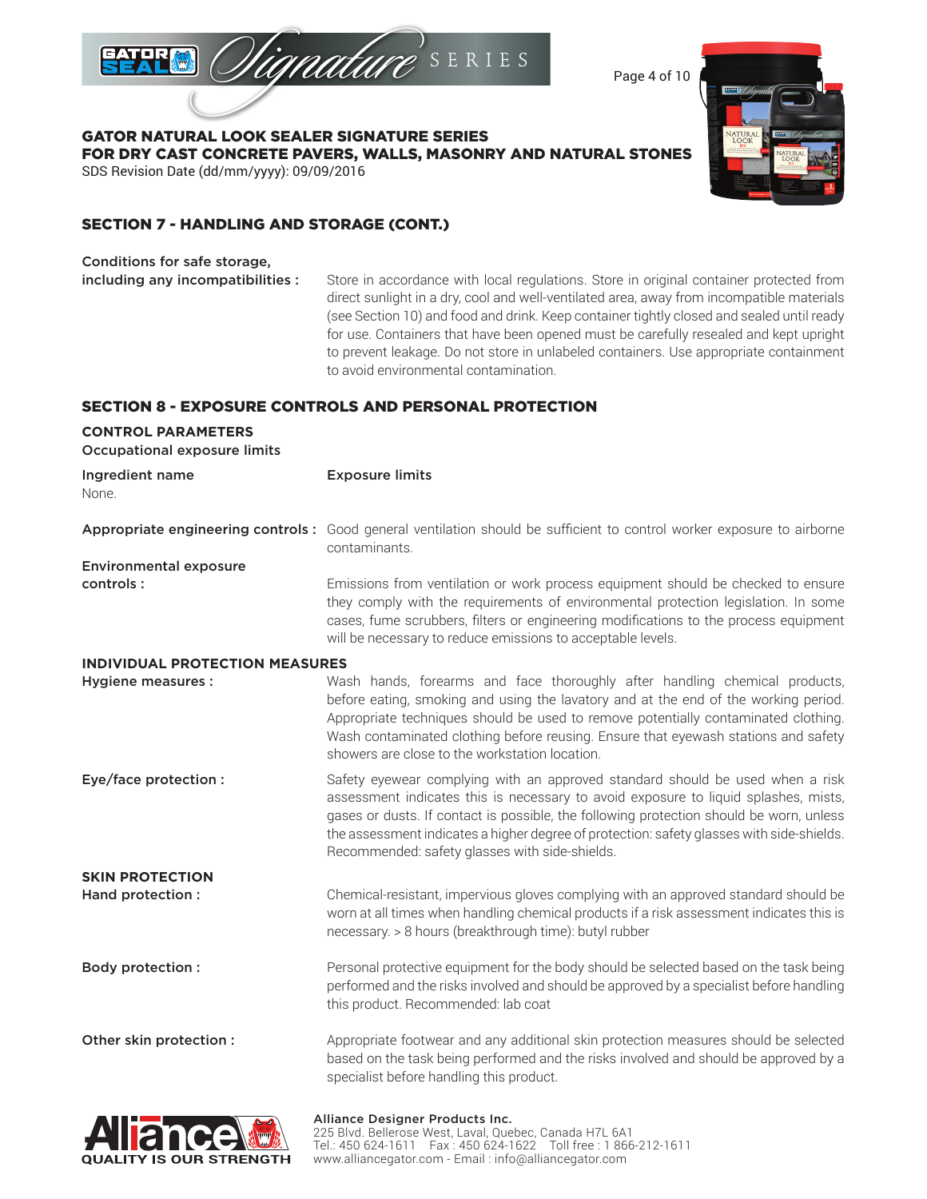

Page 4 of 10

GATOR NATURAL LOOK SEALER SIGNATURE SERIES FOR DRY CAST CONCRETE PAVERS, WALLS, MASONRY AND NATURAL STONES SDS Revision Date (dd/mm/yyyy): 09/09/2016



# SECTION 7 - HANDLING AND STORAGE (CONT.)

Conditions for safe storage,

including any incompatibilities : Store in accordance with local regulations. Store in original container protected from direct sunlight in a dry, cool and well-ventilated area, away from incompatible materials (see Section 10) and food and drink. Keep container tightly closed and sealed until ready for use. Containers that have been opened must be carefully resealed and kept upright to prevent leakage. Do not store in unlabeled containers. Use appropriate containment to avoid environmental contamination.

# SECTION 8 - EXPOSURE CONTROLS AND PERSONAL PROTECTION

| <b>CONTROL PARAMETERS</b><br><b>Occupational exposure limits</b> |                                                                                                                                                                                                                                                                                                                                                                                                                |
|------------------------------------------------------------------|----------------------------------------------------------------------------------------------------------------------------------------------------------------------------------------------------------------------------------------------------------------------------------------------------------------------------------------------------------------------------------------------------------------|
| Ingredient name<br>None.                                         | <b>Exposure limits</b>                                                                                                                                                                                                                                                                                                                                                                                         |
|                                                                  | Appropriate engineering controls: Good general ventilation should be sufficient to control worker exposure to airborne<br>contaminants.                                                                                                                                                                                                                                                                        |
| <b>Environmental exposure</b>                                    |                                                                                                                                                                                                                                                                                                                                                                                                                |
| controls:                                                        | Emissions from ventilation or work process equipment should be checked to ensure<br>they comply with the requirements of environmental protection legislation. In some<br>cases, fume scrubbers, filters or engineering modifications to the process equipment<br>will be necessary to reduce emissions to acceptable levels.                                                                                  |
| <b>INDIVIDUAL PROTECTION MEASURES</b>                            |                                                                                                                                                                                                                                                                                                                                                                                                                |
| <b>Hygiene measures:</b>                                         | Wash hands, forearms and face thoroughly after handling chemical products,<br>before eating, smoking and using the lavatory and at the end of the working period.<br>Appropriate techniques should be used to remove potentially contaminated clothing.<br>Wash contaminated clothing before reusing. Ensure that eyewash stations and safety<br>showers are close to the workstation location.                |
| Eye/face protection :                                            | Safety eyewear complying with an approved standard should be used when a risk<br>assessment indicates this is necessary to avoid exposure to liquid splashes, mists,<br>gases or dusts. If contact is possible, the following protection should be worn, unless<br>the assessment indicates a higher degree of protection: safety glasses with side-shields.<br>Recommended: safety glasses with side-shields. |
| <b>SKIN PROTECTION</b>                                           |                                                                                                                                                                                                                                                                                                                                                                                                                |
| Hand protection :                                                | Chemical-resistant, impervious gloves complying with an approved standard should be<br>worn at all times when handling chemical products if a risk assessment indicates this is<br>necessary. > 8 hours (breakthrough time): butyl rubber                                                                                                                                                                      |
| <b>Body protection:</b>                                          | Personal protective equipment for the body should be selected based on the task being<br>performed and the risks involved and should be approved by a specialist before handling<br>this product. Recommended: lab coat                                                                                                                                                                                        |
| Other skin protection :                                          | Appropriate footwear and any additional skin protection measures should be selected<br>based on the task being performed and the risks involved and should be approved by a<br>specialist before handling this product.                                                                                                                                                                                        |
|                                                                  |                                                                                                                                                                                                                                                                                                                                                                                                                |

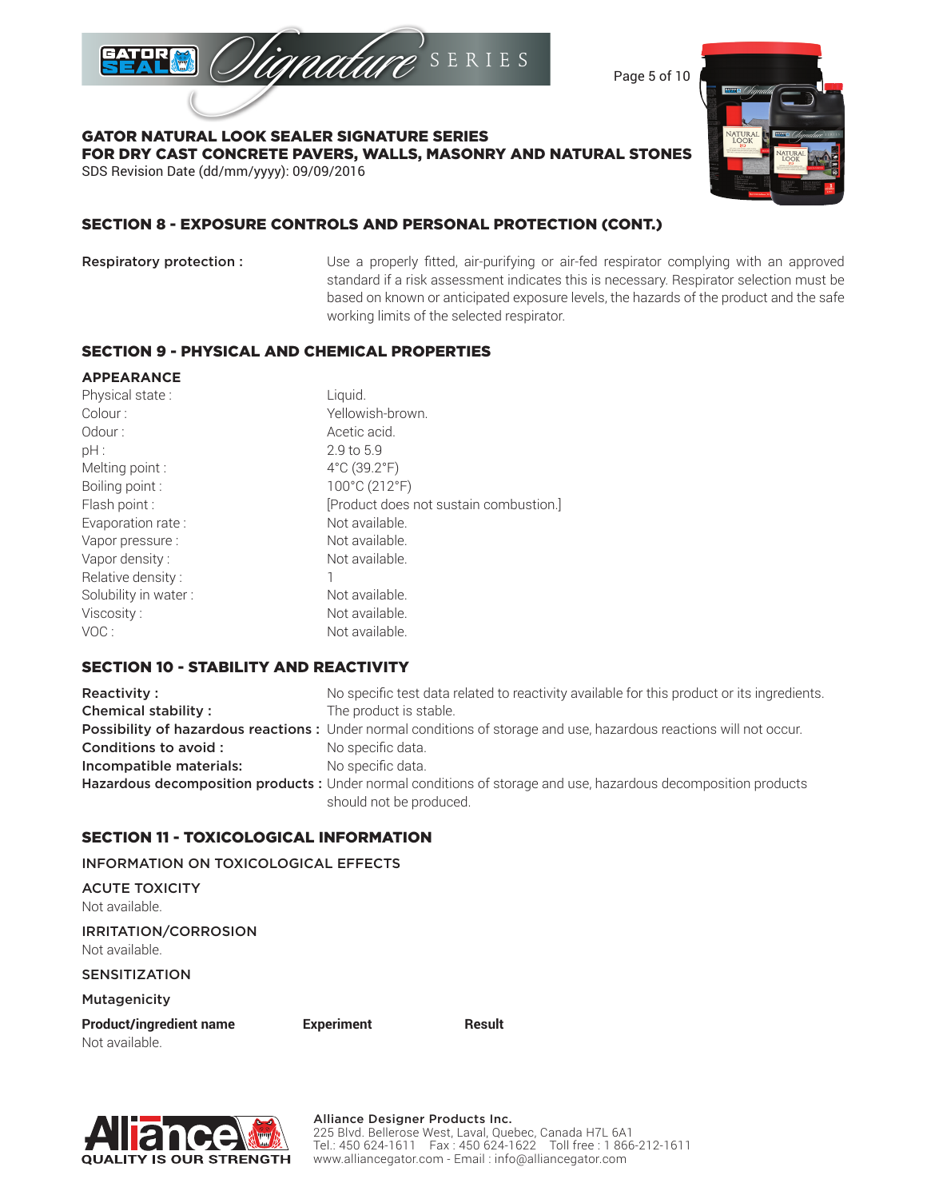

Page 5 of 10

GATOR NATURAL LOOK SEALER SIGNATURE SERIES FOR DRY CAST CONCRETE PAVERS, WALLS, MASONRY AND NATURAL STONES SDS Revision Date (dd/mm/yyyy): 09/09/2016



# SECTION 8 - EXPOSURE CONTROLS AND PERSONAL PROTECTION (CONT.)

Respiratory protection : Use a properly fitted, air-purifying or air-fed respirator complying with an approved standard if a risk assessment indicates this is necessary. Respirator selection must be based on known or anticipated exposure levels, the hazards of the product and the safe working limits of the selected respirator.

### SECTION 9 - PHYSICAL AND CHEMICAL PROPERTIES

### **APPEARANCE**

| Physical state:      | Liquid.                                |
|----------------------|----------------------------------------|
| Colour:              | Yellowish-brown.                       |
| Odour:               | Acetic acid.                           |
| pH:                  | 2.9 to 5.9                             |
| Melting point:       | $4^{\circ}$ C (39.2 $^{\circ}$ F)      |
| Boiling point:       | 100°C (212°F)                          |
| Flash point :        | [Product does not sustain combustion.] |
| Evaporation rate:    | Not available.                         |
| Vapor pressure:      | Not available.                         |
| Vapor density:       | Not available.                         |
| Relative density:    |                                        |
| Solubility in water: | Not available.                         |
| Viscosity:           | Not available.                         |
| VOC:                 | Not available.                         |

# SECTION 10 - STABILITY AND REACTIVITY

**Reactivity :** No specific test data related to reactivity available for this product or its ingredients. **Chemical stability :** The product is stable. Possibility of hazardous reactions : Under normal conditions of storage and use, hazardous reactions will not occur. **Conditions to avoid :** No specific data. Incompatible materials: No specific data. Hazardous decomposition products : Under normal conditions of storage and use, hazardous decomposition products should not be produced.

# SECTION 11 - TOXICOLOGICAL INFORMATION

INFORMATION ON TOXICOLOGICAL EFFECTS

ACUTE TOXICITY Not available.

IRRITATION/CORROSION Not available.

SENSITIZATION

Mutagenicity

Product/ingredient name **Experiment** Result Not available.

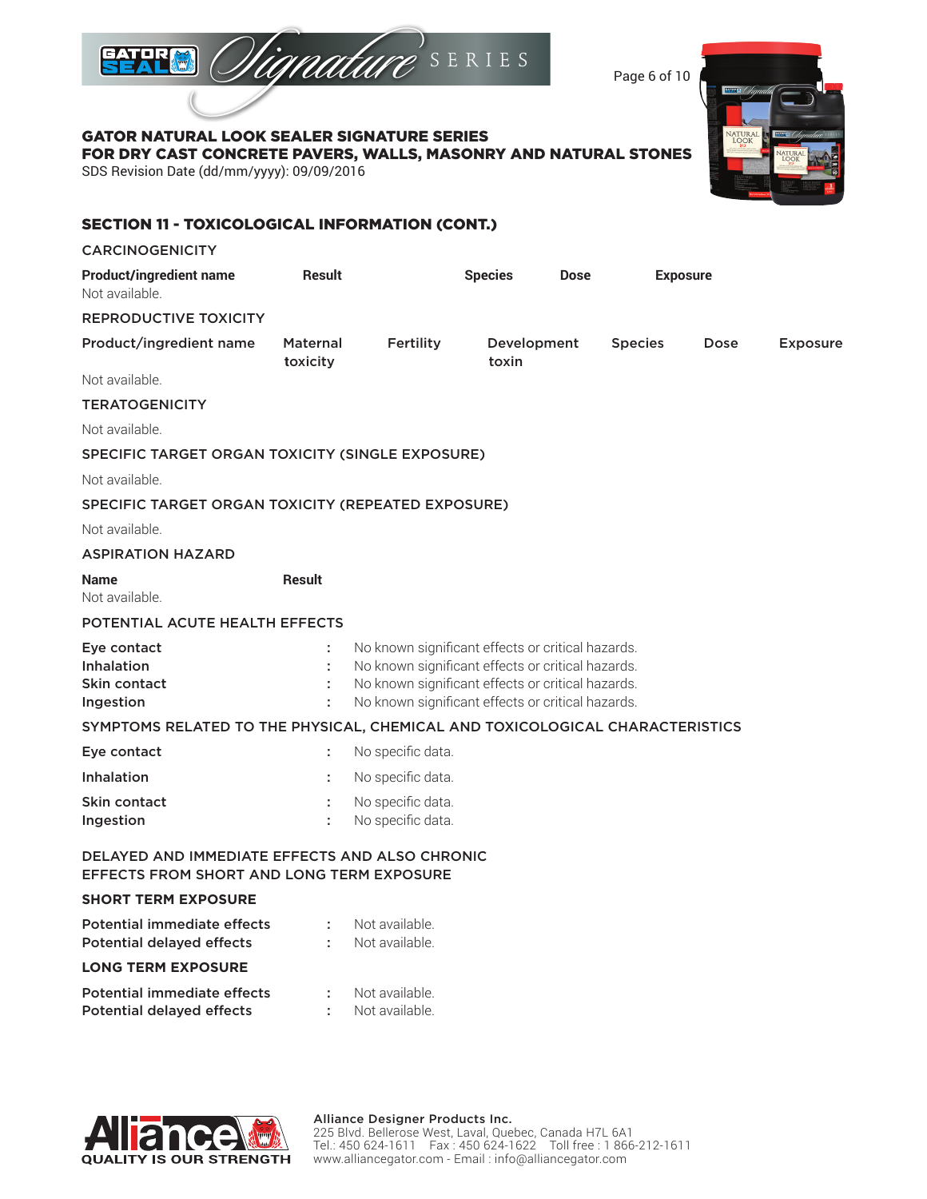

Page 6 of 10

GATOR NATURAL LOOK SEALER SIGNATURE SERIES

FOR DRY CAST CONCRETE PAVERS, WALLS, MASONRY AND NATURAL STONES

SDS Revision Date (dd/mm/yyyy): 09/09/2016

| <b>SECTION 11 - TOXICOLOGICAL INFORMATION (CONT.)</b>                                       |                             |                                                                                                                                                                                                                  |                      |             |                |                 |                 |
|---------------------------------------------------------------------------------------------|-----------------------------|------------------------------------------------------------------------------------------------------------------------------------------------------------------------------------------------------------------|----------------------|-------------|----------------|-----------------|-----------------|
| <b>CARCINOGENICITY</b>                                                                      |                             |                                                                                                                                                                                                                  |                      |             |                |                 |                 |
| <b>Product/ingredient name</b><br>Not available.                                            | <b>Result</b>               |                                                                                                                                                                                                                  | <b>Species</b>       | <b>Dose</b> |                | <b>Exposure</b> |                 |
| <b>REPRODUCTIVE TOXICITY</b>                                                                |                             |                                                                                                                                                                                                                  |                      |             |                |                 |                 |
| Product/ingredient name                                                                     | <b>Maternal</b><br>toxicity | Fertility                                                                                                                                                                                                        | Development<br>toxin |             | <b>Species</b> | Dose            | <b>Exposure</b> |
| Not available.                                                                              |                             |                                                                                                                                                                                                                  |                      |             |                |                 |                 |
| <b>TERATOGENICITY</b>                                                                       |                             |                                                                                                                                                                                                                  |                      |             |                |                 |                 |
| Not available.                                                                              |                             |                                                                                                                                                                                                                  |                      |             |                |                 |                 |
| SPECIFIC TARGET ORGAN TOXICITY (SINGLE EXPOSURE)                                            |                             |                                                                                                                                                                                                                  |                      |             |                |                 |                 |
| Not available.                                                                              |                             |                                                                                                                                                                                                                  |                      |             |                |                 |                 |
| SPECIFIC TARGET ORGAN TOXICITY (REPEATED EXPOSURE)                                          |                             |                                                                                                                                                                                                                  |                      |             |                |                 |                 |
| Not available.                                                                              |                             |                                                                                                                                                                                                                  |                      |             |                |                 |                 |
| <b>ASPIRATION HAZARD</b>                                                                    |                             |                                                                                                                                                                                                                  |                      |             |                |                 |                 |
| <b>Name</b><br>Not available.                                                               | <b>Result</b>               |                                                                                                                                                                                                                  |                      |             |                |                 |                 |
| POTENTIAL ACUTE HEALTH EFFECTS                                                              |                             |                                                                                                                                                                                                                  |                      |             |                |                 |                 |
| Eye contact<br>Inhalation<br>Skin contact<br>Ingestion                                      |                             | No known significant effects or critical hazards.<br>No known significant effects or critical hazards.<br>No known significant effects or critical hazards.<br>No known significant effects or critical hazards. |                      |             |                |                 |                 |
| SYMPTOMS RELATED TO THE PHYSICAL, CHEMICAL AND TOXICOLOGICAL CHARACTERISTICS                |                             |                                                                                                                                                                                                                  |                      |             |                |                 |                 |
| Eye contact                                                                                 | ÷                           | No specific data.                                                                                                                                                                                                |                      |             |                |                 |                 |
| Inhalation                                                                                  |                             | No specific data.                                                                                                                                                                                                |                      |             |                |                 |                 |
| Skin contact<br>Ingestion                                                                   |                             | No specific data.<br>No specific data.                                                                                                                                                                           |                      |             |                |                 |                 |
| DELAYED AND IMMEDIATE EFFECTS AND ALSO CHRONIC<br>EFFECTS FROM SHORT AND LONG TERM EXPOSURE |                             |                                                                                                                                                                                                                  |                      |             |                |                 |                 |
| <b>SHORT TERM EXPOSURE</b>                                                                  |                             |                                                                                                                                                                                                                  |                      |             |                |                 |                 |
| <b>Potential immediate effects</b><br><b>Potential delayed effects</b>                      |                             | Not available.<br>Not available.                                                                                                                                                                                 |                      |             |                |                 |                 |
| <b>LONG TERM EXPOSURE</b>                                                                   |                             |                                                                                                                                                                                                                  |                      |             |                |                 |                 |
| Potential immediate effects<br><b>Potential delayed effects</b>                             | ÷                           | Not available.<br>Not available.                                                                                                                                                                                 |                      |             |                |                 |                 |

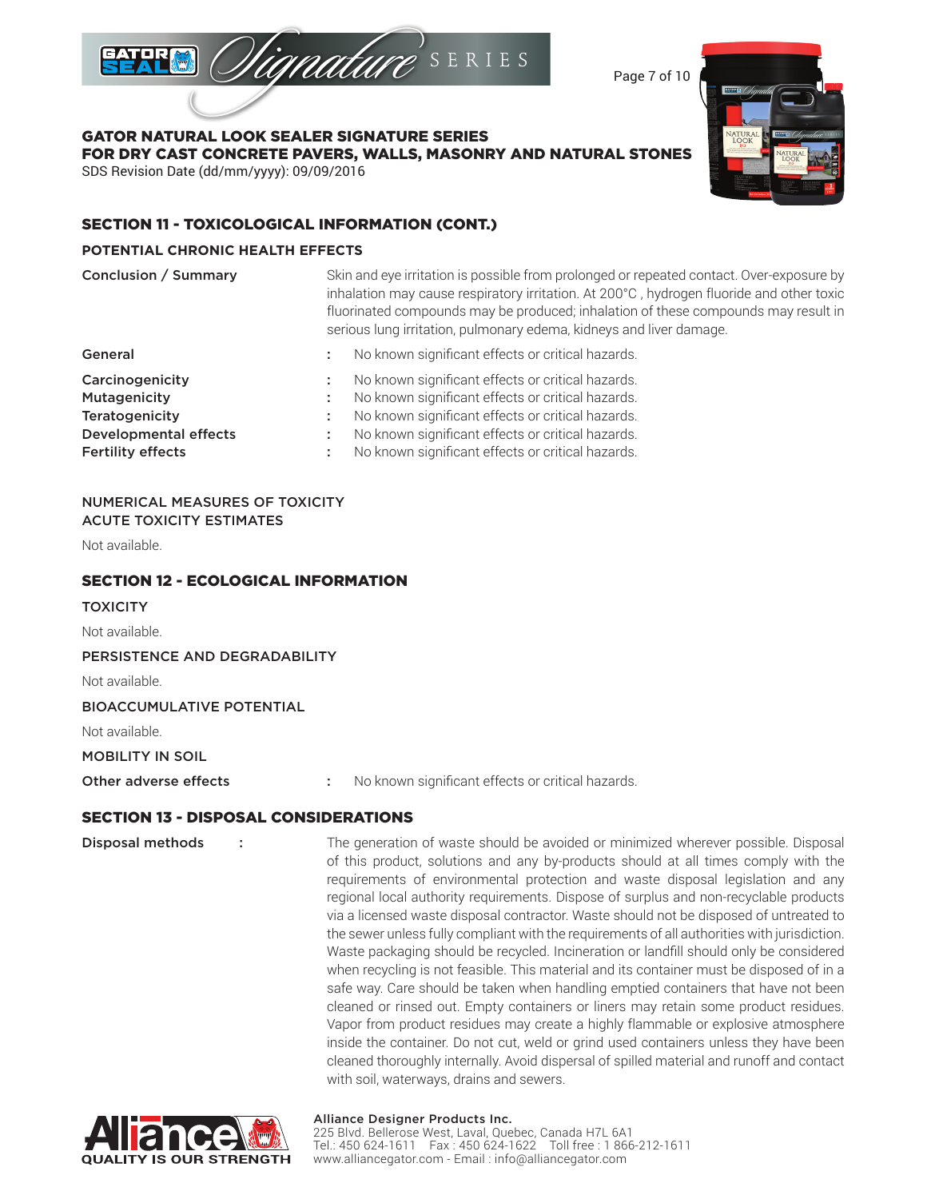

Page 7 of 10

GATOR NATURAL LOOK SEALER SIGNATURE SERIES FOR DRY CAST CONCRETE PAVERS, WALLS, MASONRY AND NATURAL STONES SDS Revision Date (dd/mm/yyyy): 09/09/2016

# SECTION 11 - TOXICOLOGICAL INFORMATION (CONT.)

### **POTENTIAL CHRONIC HEALTH EFFECTS**

| Conclusion / Summary         | Skin and eye irritation is possible from prolonged or repeated contact. Over-exposure by<br>inhalation may cause respiratory irritation. At 200°C, hydrogen fluoride and other toxic<br>fluorinated compounds may be produced; inhalation of these compounds may result in<br>serious lung irritation, pulmonary edema, kidneys and liver damage. |
|------------------------------|---------------------------------------------------------------------------------------------------------------------------------------------------------------------------------------------------------------------------------------------------------------------------------------------------------------------------------------------------|
| General                      | No known significant effects or critical hazards.                                                                                                                                                                                                                                                                                                 |
| Carcinogenicity              | No known significant effects or critical hazards.                                                                                                                                                                                                                                                                                                 |
| Mutagenicity                 | No known significant effects or critical hazards.                                                                                                                                                                                                                                                                                                 |
| Teratogenicity               | No known significant effects or critical hazards.                                                                                                                                                                                                                                                                                                 |
| <b>Developmental effects</b> | No known significant effects or critical hazards.                                                                                                                                                                                                                                                                                                 |
| <b>Fertility effects</b>     | No known significant effects or critical hazards.                                                                                                                                                                                                                                                                                                 |

### NUMERICAL MEASURES OF TOXICITY ACUTE TOXICITY ESTIMATES

Not available.

### SECTION 12 - ECOLOGICAL INFORMATION

**TOXICITY** 

Not available.

PERSISTENCE AND DEGRADABILITY

Not available.

BIOACCUMULATIVE POTENTIAL

Not available.

MOBILITY IN SOIL

Other adverse effects : No known significant effects or critical hazards.

### SECTION 13 - DISPOSAL CONSIDERATIONS

**Disposal methods** : The generation of waste should be avoided or minimized wherever possible. Disposal of this product, solutions and any by-products should at all times comply with the requirements of environmental protection and waste disposal legislation and any regional local authority requirements. Dispose of surplus and non-recyclable products via a licensed waste disposal contractor. Waste should not be disposed of untreated to the sewer unless fully compliant with the requirements of all authorities with jurisdiction. Waste packaging should be recycled. Incineration or landfill should only be considered when recycling is not feasible. This material and its container must be disposed of in a safe way. Care should be taken when handling emptied containers that have not been cleaned or rinsed out. Empty containers or liners may retain some product residues. Vapor from product residues may create a highly flammable or explosive atmosphere inside the container. Do not cut, weld or grind used containers unless they have been cleaned thoroughly internally. Avoid dispersal of spilled material and runoff and contact with soil, waterways, drains and sewers.



### Alliance Designer Products Inc.

225 Blvd. Bellerose West, Laval, Quebec, Canada H7L 6A1 Tel.: 450 624-1611 Fax : 450 624-1622 Toll free : 1 866-212-1611 www.alliancegator.com - Email : info@alliancegator.com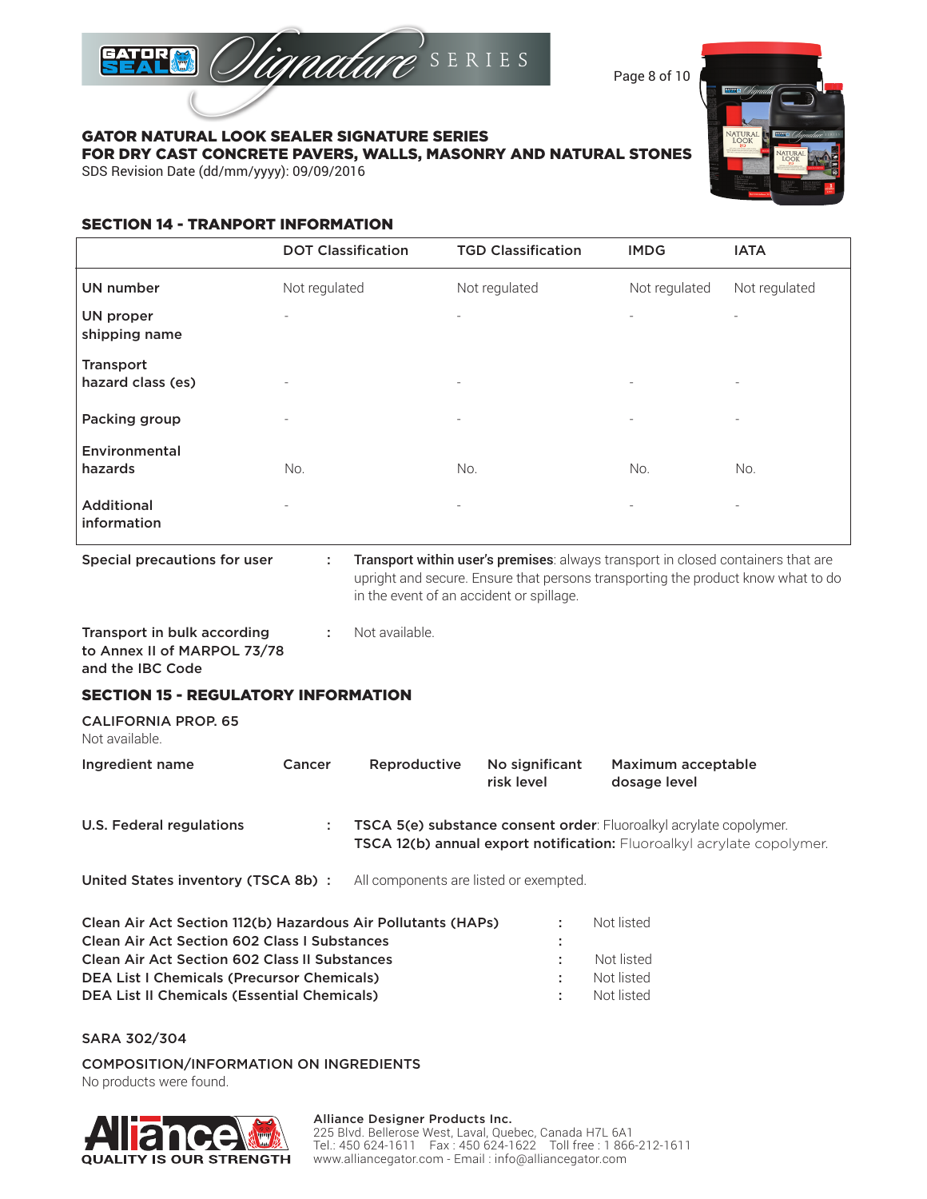

Page 8 of 10

# GATOR NATURAL LOOK SEALER SIGNATURE SERIES

FOR DRY CAST CONCRETE PAVERS, WALLS, MASONRY AND NATURAL STONES

SDS Revision Date (dd/mm/yyyy): 09/09/2016

# SECTION 14 - TRANPORT INFORMATION

|                                  | <b>DOT Classification</b> | <b>TGD Classification</b> | <b>IMDG</b>              | <b>IATA</b>              |
|----------------------------------|---------------------------|---------------------------|--------------------------|--------------------------|
| <b>UN number</b>                 | Not regulated             | Not regulated             | Not regulated            | Not regulated            |
| UN proper<br>shipping name       |                           | $\overline{\phantom{a}}$  | $\overline{\phantom{a}}$ | $\overline{\phantom{0}}$ |
| Transport<br>hazard class (es)   |                           | $\overline{\phantom{a}}$  | $\overline{\phantom{a}}$ | $\overline{\phantom{a}}$ |
| Packing group                    | ٠                         | $\overline{\phantom{a}}$  | $\overline{\phantom{a}}$ | $\overline{\phantom{a}}$ |
| Environmental<br>hazards         | No.                       | No.                       | No.                      | No.                      |
| <b>Additional</b><br>information | $\overline{\phantom{0}}$  | $\overline{\phantom{a}}$  | $\overline{\phantom{0}}$ | $\overline{\phantom{a}}$ |
|                                  |                           |                           |                          |                          |

Special precautions for user : Transport within user's premises: always transport in closed containers that are upright and secure. Ensure that persons transporting the product know what to do in the event of an accident or spillage.

Transport in bulk according : Not available. to Annex II of MARPOL 73/78 and the IBC Code

# SECTION 15 - REGULATORY INFORMATION

CALIFORNIA PROP. 65 Not available.

| Ingredient name          | Cancer | Reproductive | No significant<br>risk level | Maximum acceptable<br>dosage level                                                                                                                  |
|--------------------------|--------|--------------|------------------------------|-----------------------------------------------------------------------------------------------------------------------------------------------------|
| U.S. Federal regulations |        |              |                              | TSCA 5(e) substance consent order: Fluoroalkyl acrylate copolymer.<br><b>TSCA 12(b) annual export notification:</b> Fluoroalkyl acrylate copolymer. |

United States inventory (TSCA 8b) : All components are listed or exempted.

| Clean Air Act Section 112(b) Hazardous Air Pollutants (HAPs) |   | Not listed |
|--------------------------------------------------------------|---|------------|
| <b>Clean Air Act Section 602 Class I Substances</b>          |   |            |
| <b>Clean Air Act Section 602 Class II Substances</b>         |   | Not listed |
| <b>DEA List I Chemicals (Precursor Chemicals)</b>            | ÷ | Not listed |
| <b>DEA List II Chemicals (Essential Chemicals)</b>           |   | Not listed |

SARA 302/304

COMPOSITION/INFORMATION ON INGREDIENTS

No products were found.



### Alliance Designer Products Inc.

225 Blvd. Bellerose West, Laval, Quebec, Canada H7L 6A1 Tel.: 450 624-1611 Fax : 450 624-1622 Toll free : 1 866-212-1611 www.alliancegator.com - Email : info@alliancegator.com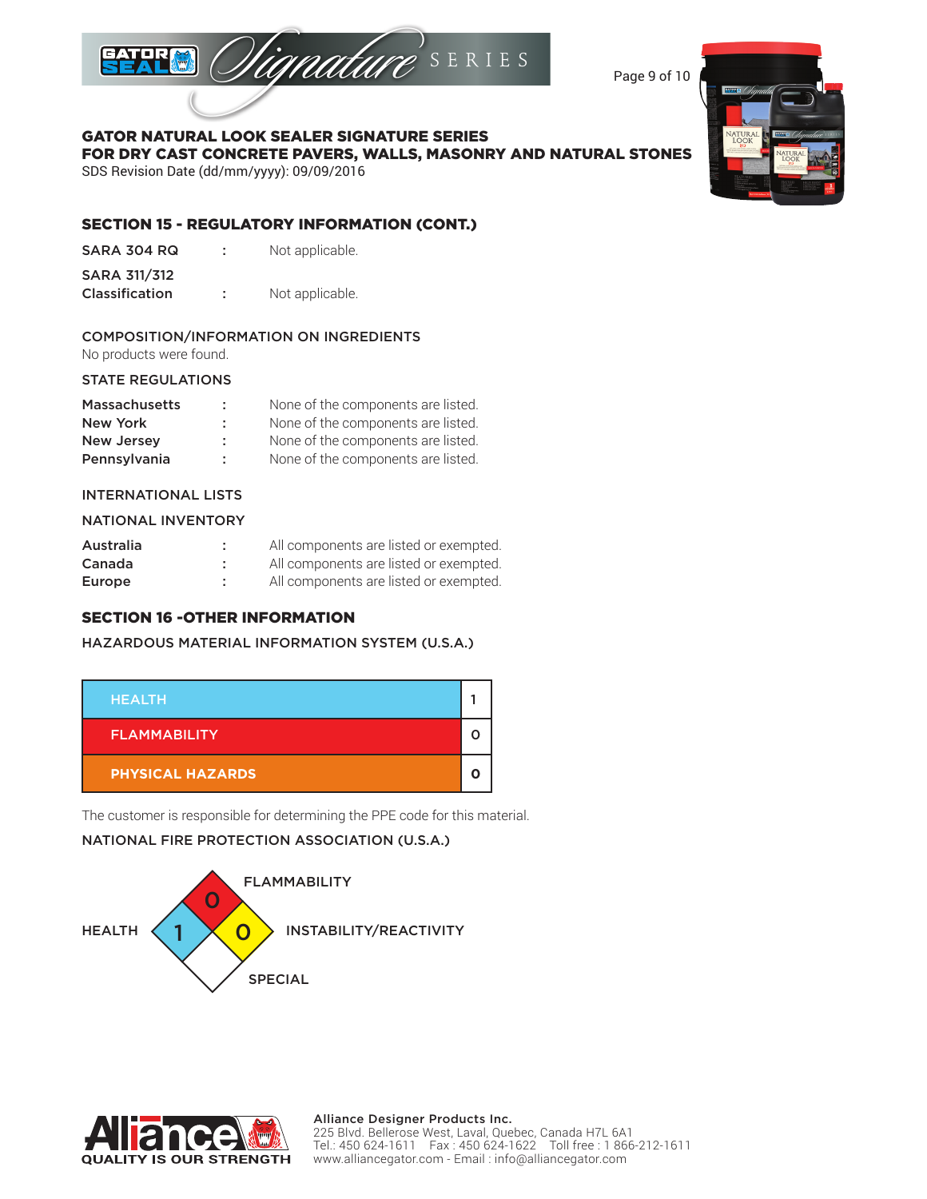

Page 9 of 10

### FOR DRY CAST CONCRETE PAVERS, WALLS, MASONRY AND NATURAL STONES SDS Revision Date (dd/mm/yyyy): 09/09/2016

# SECTION 15 - REGULATORY INFORMATION (CONT.)

GATOR NATURAL LOOK SEALER SIGNATURE SERIES

| SARA 304 RQ |  | Not applicable. |
|-------------|--|-----------------|
|-------------|--|-----------------|

Classification : Not applicable.

### COMPOSITION/INFORMATION ON INGREDIENTS

No products were found.

### STATE REGULATIONS

| <b>Massachusetts</b> | ÷. | None of the components are listed. |
|----------------------|----|------------------------------------|
| New York             | ÷. | None of the components are listed. |
| <b>New Jersey</b>    | ÷. | None of the components are listed. |
| Pennsylvania         | ÷  | None of the components are listed. |

### INTERNATIONAL LISTS

### NATIONAL INVENTORY

| Australia | ٠ | All components are listed or exempted. |
|-----------|---|----------------------------------------|
| Canada    |   | All components are listed or exempted. |
| Europe    |   | All components are listed or exempted. |

# SECTION 16 -OTHER INFORMATION

# HAZARDOUS MATERIAL INFORMATION SYSTEM (U.S.A.)



The customer is responsible for determining the PPE code for this material.

# NATIONAL FIRE PROTECTION ASSOCIATION (U.S.A.)